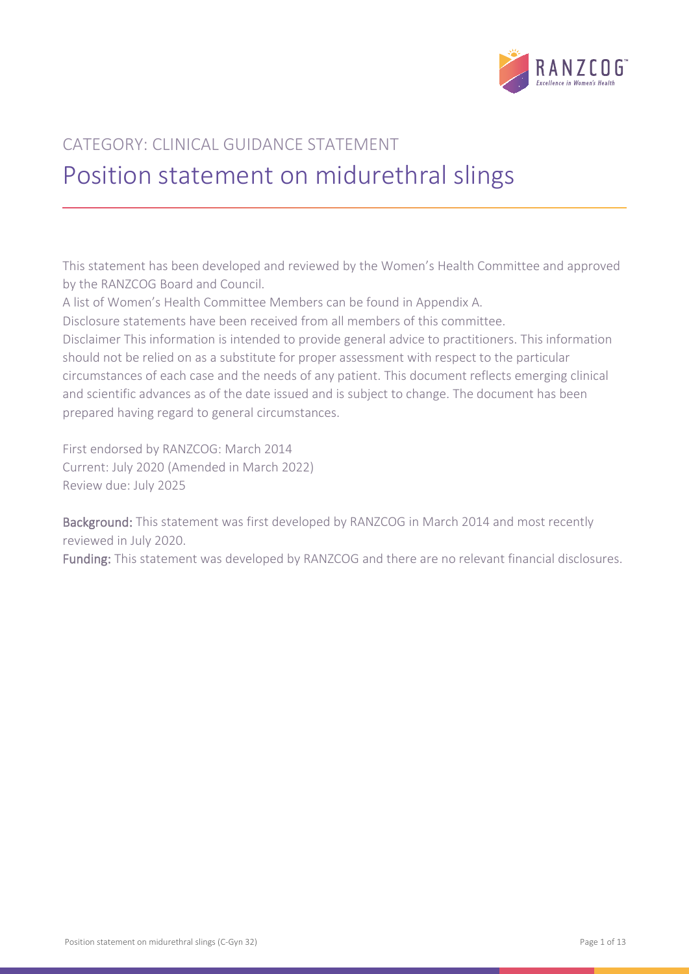

# CATEGORY: CLINICAL GUIDANCE STATEMENT Position statement on midurethral slings

This statement has been developed and reviewed by the Women's Health Committee and approved by the RANZCOG Board and Council.

A list of Women's Health Committee Members can be found in Appendix A.

Disclosure statements have been received from all members of this committee.

Disclaimer This information is intended to provide general advice to practitioners. This information should not be relied on as a substitute for proper assessment with respect to the particular circumstances of each case and the needs of any patient. This document reflects emerging clinical and scientific advances as of the date issued and is subject to change. The document has been prepared having regard to general circumstances.

First endorsed by RANZCOG: March 2014 Current: July 2020 (Amended in March 2022) Review due: July 2025

Background: This statement was first developed by RANZCOG in March 2014 and most recently reviewed in July 2020.

Funding: This statement was developed by RANZCOG and there are no relevant financial disclosures.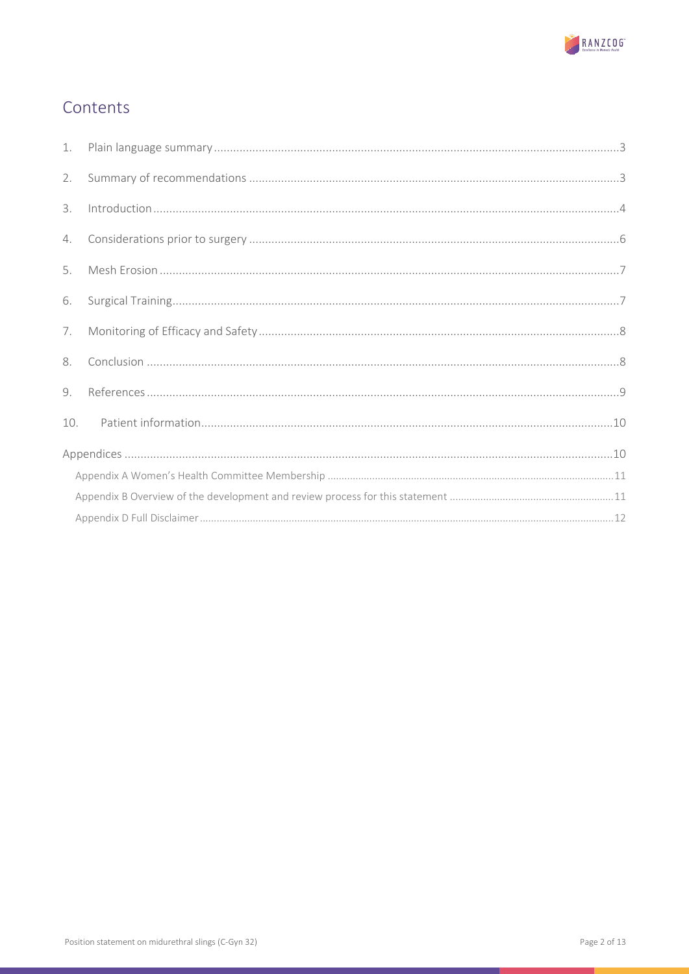

# Contents

| 1.             |  |
|----------------|--|
| 2.             |  |
| 3.             |  |
| 4.             |  |
| 5.             |  |
| 6.             |  |
| 7.             |  |
| 8.             |  |
| 9 <sub>1</sub> |  |
| 10.            |  |
|                |  |
|                |  |
|                |  |
|                |  |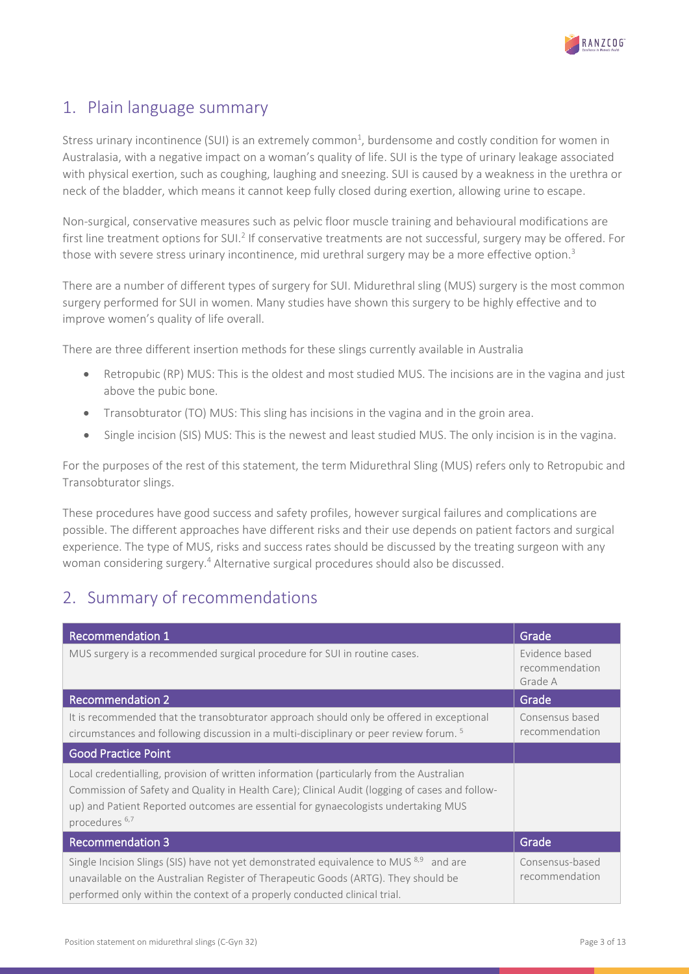

# <span id="page-2-0"></span>1. Plain language summary

Stress urinary incontinence (SUI) is an extremely common<sup>1</sup>, burdensome and costly condition for women in Australasia, with a negative impact on a woman's quality of life. SUI is the type of urinary leakage associated with physical exertion, such as coughing, laughing and sneezing. SUI is caused by a weakness in the urethra or neck of the bladder, which means it cannot keep fully closed during exertion, allowing urine to escape.

Non-surgical, conservative measures such as pelvic floor muscle training and behavioural modifications are first line treatment options for SUI.<sup>2</sup> If conservative treatments are not successful, surgery may be offered. For those with severe stress urinary incontinence, mid urethral surgery may be a more effective option.<sup>3</sup>

There are a number of different types of surgery for SUI. Midurethral sling (MUS) surgery is the most common surgery performed for SUI in women. Many studies have shown this surgery to be highly effective and to improve women's quality of life overall.

There are three different insertion methods for these slings currently available in Australia

- Retropubic (RP) MUS: This is the oldest and most studied MUS. The incisions are in the vagina and just above the pubic bone.
- Transobturator (TO) MUS: This sling has incisions in the vagina and in the groin area.
- Single incision (SIS) MUS: This is the newest and least studied MUS. The only incision is in the vagina.

For the purposes of the rest of this statement, the term Midurethral Sling (MUS) refers only to Retropubic and Transobturator slings.

These procedures have good success and safety profiles, however surgical failures and complications are possible. The different approaches have different risks and their use depends on patient factors and surgical experience. The type of MUS, risks and success rates should be discussed by the treating surgeon with any woman considering surgery.4 Alternative surgical procedures should also be discussed.

### <span id="page-2-1"></span>2. Summary of recommendations

| <b>Recommendation 1</b>                                                                                                                                                                                                                                                                                       | Grade                                       |
|---------------------------------------------------------------------------------------------------------------------------------------------------------------------------------------------------------------------------------------------------------------------------------------------------------------|---------------------------------------------|
| MUS surgery is a recommended surgical procedure for SUI in routine cases.                                                                                                                                                                                                                                     | Evidence based<br>recommendation<br>Grade A |
| <b>Recommendation 2</b>                                                                                                                                                                                                                                                                                       | Grade                                       |
| It is recommended that the transobturator approach should only be offered in exceptional<br>circumstances and following discussion in a multi-disciplinary or peer review forum. <sup>5</sup>                                                                                                                 | Consensus based<br>recommendation           |
| <b>Good Practice Point</b>                                                                                                                                                                                                                                                                                    |                                             |
| Local credentialling, provision of written information (particularly from the Australian<br>Commission of Safety and Quality in Health Care); Clinical Audit (logging of cases and follow-<br>up) and Patient Reported outcomes are essential for gynaecologists undertaking MUS<br>procedures <sup>6,7</sup> |                                             |
| <b>Recommendation 3</b>                                                                                                                                                                                                                                                                                       | Grade                                       |
| Single Incision Slings (SIS) have not yet demonstrated equivalence to MUS <sup>8,9</sup> and are<br>unavailable on the Australian Register of Therapeutic Goods (ARTG). They should be<br>performed only within the context of a properly conducted clinical trial.                                           | Consensus-based<br>recommendation           |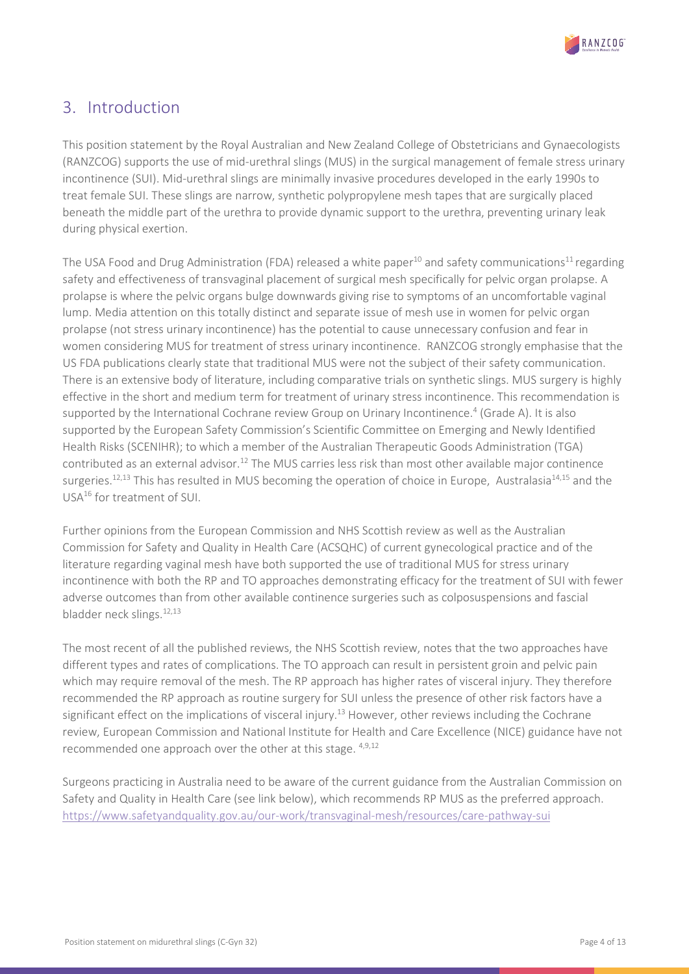

# <span id="page-3-0"></span>3. Introduction

This position statement by the Royal Australian and New Zealand College of Obstetricians and Gynaecologists (RANZCOG) supports the use of mid-urethral slings (MUS) in the surgical management of female stress urinary incontinence (SUI). Mid-urethral slings are minimally invasive procedures developed in the early 1990s to treat female SUI. These slings are narrow, synthetic polypropylene mesh tapes that are surgically placed beneath the middle part of the urethra to provide dynamic support to the urethra, preventing urinary leak during physical exertion.

The USA Food and Drug Administration (FDA) released a white paper<sup>10</sup> and safety communications<sup>11</sup> regarding safety and effectiveness of transvaginal placement of surgical mesh specifically for pelvic organ prolapse. A prolapse is where the pelvic organs bulge downwards giving rise to symptoms of an uncomfortable vaginal lump. Media attention on this totally distinct and separate issue of mesh use in women for pelvic organ prolapse (not stress urinary incontinence) has the potential to cause unnecessary confusion and fear in women considering MUS for treatment of stress urinary incontinence. RANZCOG strongly emphasise that the US FDA publications clearly state that traditional MUS were not the subject of their safety communication. There is an extensive body of literature, including comparative trials on synthetic slings. MUS surgery is highly effective in the short and medium term for treatment of urinary stress incontinence. This recommendation is supported by the International Cochrane review Group on Urinary Incontinence.<sup>4</sup> (Grade A). It is also supported by the European Safety Commission's Scientific Committee on Emerging and Newly Identified Health Risks (SCENIHR); to which a member of the Australian Therapeutic Goods Administration (TGA) contributed as an external advisor.12 The MUS carries less risk than most other available major continence surgeries.<sup>12,13</sup> This has resulted in MUS becoming the operation of choice in Europe, Australasia<sup>14,15</sup> and the USA16 for treatment of SUI.

Further opinions from the European Commission and NHS Scottish review as well as the Australian Commission for Safety and Quality in Health Care (ACSQHC) of current gynecological practice and of the literature regarding vaginal mesh have both supported the use of traditional MUS for stress urinary incontinence with both the RP and TO approaches demonstrating efficacy for the treatment of SUI with fewer adverse outcomes than from other available continence surgeries such as colposuspensions and fascial bladder neck slings.<sup>12,13</sup>

The most recent of all the published reviews, the NHS Scottish review, notes that the two approaches have different types and rates of complications. The TO approach can result in persistent groin and pelvic pain which may require removal of the mesh. The RP approach has higher rates of visceral injury. They therefore recommended the RP approach as routine surgery for SUI unless the presence of other risk factors have a significant effect on the implications of visceral injury.<sup>13</sup> However, other reviews including the Cochrane review, European Commission and National Institute for Health and Care Excellence (NICE) guidance have not recommended one approach over the other at this stage. <sup>4,9,12</sup>

Surgeons practicing in Australia need to be aware of the current guidance from the Australian Commission on Safety and Quality in Health Care (see link below), which recommends RP MUS as the preferred approach. <https://www.safetyandquality.gov.au/our-work/transvaginal-mesh/resources/care-pathway-sui>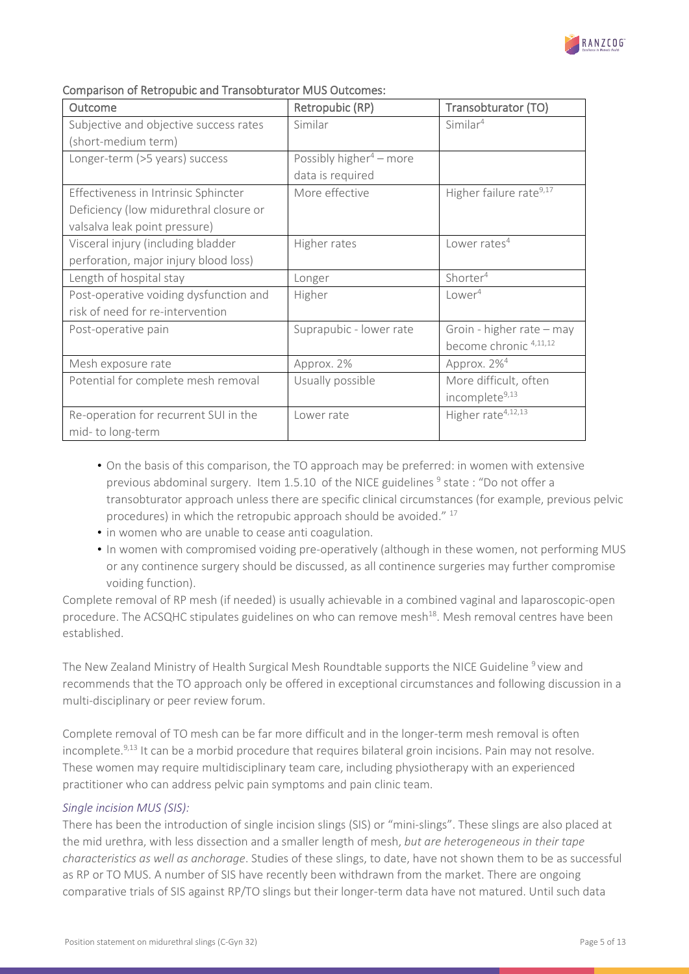

| Outcome                                | Retropubic (RP)                     | Transobturator (TO)                 |
|----------------------------------------|-------------------------------------|-------------------------------------|
| Subjective and objective success rates | Similar                             | Similar <sup>4</sup>                |
| (short-medium term)                    |                                     |                                     |
| Longer-term (>5 years) success         | Possibly higher <sup>4</sup> – more |                                     |
|                                        | data is required                    |                                     |
| Effectiveness in Intrinsic Sphincter   | More effective                      | Higher failure rate <sup>9,17</sup> |
| Deficiency (low midurethral closure or |                                     |                                     |
| valsalva leak point pressure)          |                                     |                                     |
| Visceral injury (including bladder     | Higher rates                        | Lower rates <sup>4</sup>            |
| perforation, major injury blood loss)  |                                     |                                     |
| Length of hospital stay                | Longer                              | Shorter <sup>4</sup>                |
| Post-operative voiding dysfunction and | Higher                              | Lower <sup>4</sup>                  |
| risk of need for re-intervention       |                                     |                                     |
| Post-operative pain                    | Suprapubic - lower rate             | Groin - higher rate - may           |
|                                        |                                     | become chronic 4,11,12              |
| Mesh exposure rate                     | Approx. 2%                          | Approx. 2% <sup>4</sup>             |
| Potential for complete mesh removal    | Usually possible                    | More difficult, often               |
|                                        |                                     | incomplete <sup>9,13</sup>          |
| Re-operation for recurrent SUI in the  | Lower rate                          | Higher rate <sup>4,12,13</sup>      |
| mid-to long-term                       |                                     |                                     |

### Comparison of Retropubic and Transobturator MUS Outcomes:

- On the basis of this comparison, the TO approach may be preferred: in women with extensive previous abdominal surgery. Item  $1.5.10$  of the NICE guidelines  $9$  state: "Do not offer a transobturator approach unless there are specific clinical circumstances (for example, previous pelvic procedures) in which the retropubic approach should be avoided." <sup>17</sup>
- in women who are unable to cease anti coagulation.
- In women with compromised voiding pre-operatively (although in these women, not performing MUS or any continence surgery should be discussed, as all continence surgeries may further compromise voiding function).

Complete removal of RP mesh (if needed) is usually achievable in a combined vaginal and laparoscopic-open procedure. The ACSQHC stipulates guidelines on who can remove mesh<sup>18</sup>. Mesh removal centres have been established.

The New Zealand Ministry of Health Surgical Mesh Roundtable supports the NICE Guideline <sup>9</sup> view and recommends that the TO approach only be offered in exceptional circumstances and following discussion in a multi-disciplinary or peer review forum.

Complete removal of TO mesh can be far more difficult and in the longer-term mesh removal is often incomplete.<sup>9,13</sup> It can be a morbid procedure that requires bilateral groin incisions. Pain may not resolve. These women may require multidisciplinary team care, including physiotherapy with an experienced practitioner who can address pelvic pain symptoms and pain clinic team.

#### *Single incision MUS (SIS):*

There has been the introduction of single incision slings (SIS) or "mini-slings". These slings are also placed at the mid urethra, with less dissection and a smaller length of mesh, *but are heterogeneous in their tape characteristics as well as anchorage*. Studies of these slings, to date, have not shown them to be as successful as RP or TO MUS. A number of SIS have recently been withdrawn from the market. There are ongoing comparative trials of SIS against RP/TO slings but their longer-term data have not matured. Until such data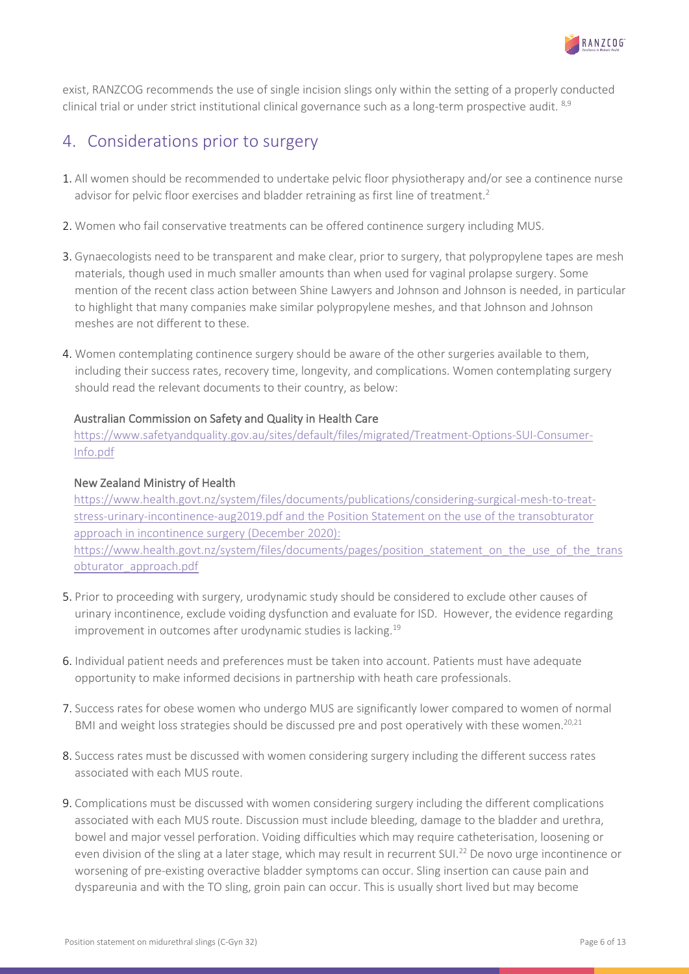

exist, RANZCOG recommends the use of single incision slings only within the setting of a properly conducted clinical trial or under strict institutional clinical governance such as a long-term prospective audit. <sup>8,9</sup>

### <span id="page-5-0"></span>4. Considerations prior to surgery

- 1. All women should be recommended to undertake pelvic floor physiotherapy and/or see a continence nurse advisor for pelvic floor exercises and bladder retraining as first line of treatment.<sup>2</sup>
- 2. Women who fail conservative treatments can be offered continence surgery including MUS.
- 3. Gynaecologists need to be transparent and make clear, prior to surgery, that polypropylene tapes are mesh materials, though used in much smaller amounts than when used for vaginal prolapse surgery. Some mention of the recent class action between Shine Lawyers and Johnson and Johnson is needed, in particular to highlight that many companies make similar polypropylene meshes, and that Johnson and Johnson meshes are not different to these.
- 4. Women contemplating continence surgery should be aware of the other surgeries available to them, including their success rates, recovery time, longevity, and complications. Women contemplating surgery should read the relevant documents to their country, as below:

### Australian Commission on Safety and Quality in Health Care

[https://www.safetyandquality.gov.au/sites/default/files/migrated/Treatment-Options-SUI-Consumer-](https://www.safetyandquality.gov.au/sites/default/files/migrated/Treatment-Options-SUI-Consumer-Info.pdf)[Info.pdf](https://www.safetyandquality.gov.au/sites/default/files/migrated/Treatment-Options-SUI-Consumer-Info.pdf)

### New Zealand Ministry of Health

[https://www.health.govt.nz/system/files/documents/publications/considering-surgical-mesh-to-treat](https://www.health.govt.nz/system/files/documents/publications/considering-surgical-mesh-to-treat-stress-urinary-incontinence-aug2019.pdf)[stress-urinary-incontinence-aug2019.pdf](https://www.health.govt.nz/system/files/documents/publications/considering-surgical-mesh-to-treat-stress-urinary-incontinence-aug2019.pdf) and the Position Statement on the use of the transobturator approach in incontinence surgery (December 2020): https://www.health.govt.nz/system/files/documents/pages/position\_statement\_on\_the\_use\_of\_the\_trans obturator\_approach.pdf

- 5. Prior to proceeding with surgery, urodynamic study should be considered to exclude other causes of urinary incontinence, exclude voiding dysfunction and evaluate for ISD. However, the evidence regarding improvement in outcomes after urodynamic studies is lacking.<sup>19</sup>
- 6. Individual patient needs and preferences must be taken into account. Patients must have adequate opportunity to make informed decisions in partnership with heath care professionals.
- 7. Success rates for obese women who undergo MUS are significantly lower compared to women of normal BMI and weight loss strategies should be discussed pre and post operatively with these women.<sup>20,21</sup>
- 8. Success rates must be discussed with women considering surgery including the different success rates associated with each MUS route.
- 9. Complications must be discussed with women considering surgery including the different complications associated with each MUS route. Discussion must include bleeding, damage to the bladder and urethra, bowel and major vessel perforation. Voiding difficulties which may require catheterisation, loosening or even division of the sling at a later stage, which may result in recurrent SUI.<sup>22</sup> De novo urge incontinence or worsening of pre-existing overactive bladder symptoms can occur. Sling insertion can cause pain and dyspareunia and with the TO sling, groin pain can occur. This is usually short lived but may become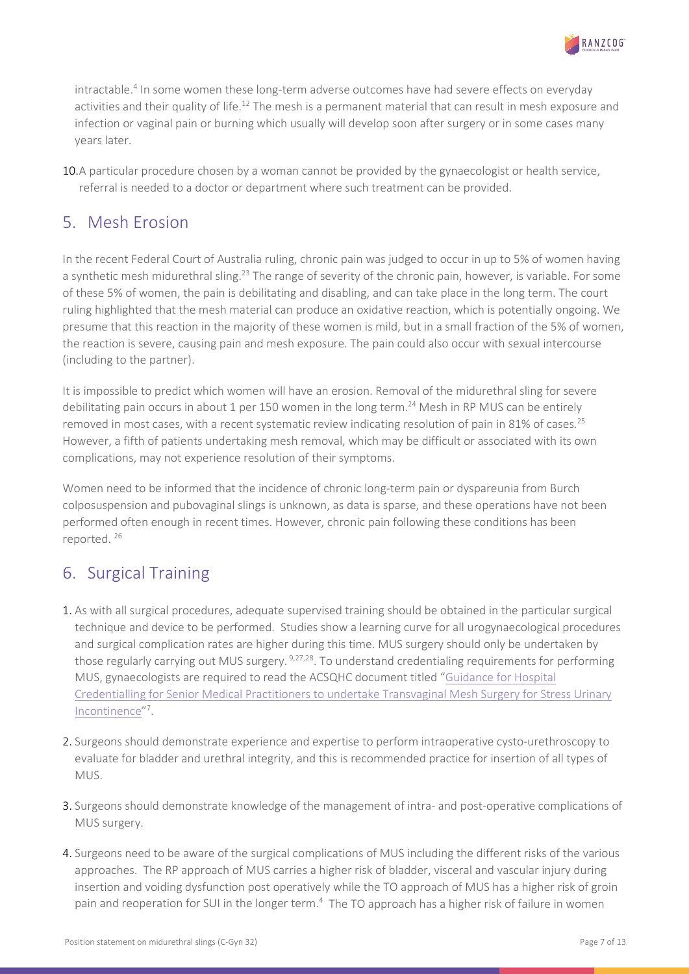

intractable.<sup>4</sup> In some women these long-term adverse outcomes have had severe effects on everyday activities and their quality of life.<sup>12</sup> The mesh is a permanent material that can result in mesh exposure and infection or vaginal pain or burning which usually will develop soon after surgery or in some cases many years later.

10.A particular procedure chosen by a woman cannot be provided by the gynaecologist or health service, referral is needed to a doctor or department where such treatment can be provided.

# <span id="page-6-0"></span>5. Mesh Erosion

In the recent Federal Court of Australia ruling, chronic pain was judged to occur in up to 5% of women having a synthetic mesh midurethral sling.<sup>23</sup> The range of severity of the chronic pain, however, is variable. For some of these 5% of women, the pain is debilitating and disabling, and can take place in the long term. The court ruling highlighted that the mesh material can produce an oxidative reaction, which is potentially ongoing. We presume that this reaction in the majority of these women is mild, but in a small fraction of the 5% of women, the reaction is severe, causing pain and mesh exposure. The pain could also occur with sexual intercourse (including to the partner).

It is impossible to predict which women will have an erosion. Removal of the midurethral sling for severe debilitating pain occurs in about 1 per 150 women in the long term.<sup>24</sup> Mesh in RP MUS can be entirely removed in most cases, with a recent systematic review indicating resolution of pain in 81% of cases.<sup>25</sup> However, a fifth of patients undertaking mesh removal, which may be difficult or associated with its own complications, may not experience resolution of their symptoms.

Women need to be informed that the incidence of chronic long-term pain or dyspareunia from Burch colposuspension and pubovaginal slings is unknown, as data is sparse, and these operations have not been performed often enough in recent times. However, chronic pain following these conditions has been reported. 26

# <span id="page-6-1"></span>6. Surgical Training

- 1. As with all surgical procedures, adequate supervised training should be obtained in the particular surgical technique and device to be performed. Studies show a learning curve for all urogynaecological procedures and surgical complication rates are higher during this time. MUS surgery should only be undertaken by those regularly carrying out MUS surgery. <sup>9,27,28</sup>. To understand credentialing requirements for performing MUS, gynaecologists are required to read the ACSQHC document titled ["Guidance for Hospital](https://www.safetyandquality.gov.au/sites/default/files/migrated/Credentialing-of-Senior-Medical-Practitioners-to-Undertake-Transvaginal-Mesh-Implant-Surgery-forStress-Urinary-Incontinence.pdf)  [Credentialling for Senior Medical Practitioners to undertake Transvaginal Mesh Surgery for Stress Urinary](https://www.safetyandquality.gov.au/sites/default/files/migrated/Credentialing-of-Senior-Medical-Practitioners-to-Undertake-Transvaginal-Mesh-Implant-Surgery-forStress-Urinary-Incontinence.pdf)  [Incontinence"](https://www.safetyandquality.gov.au/sites/default/files/migrated/Credentialing-of-Senior-Medical-Practitioners-to-Undertake-Transvaginal-Mesh-Implant-Surgery-forStress-Urinary-Incontinence.pdf)7.
- 2. Surgeons should demonstrate experience and expertise to perform intraoperative cysto-urethroscopy to evaluate for bladder and urethral integrity, and this is recommended practice for insertion of all types of MUS.
- 3. Surgeons should demonstrate knowledge of the management of intra- and post-operative complications of MUS surgery.
- 4. Surgeons need to be aware of the surgical complications of MUS including the different risks of the various approaches. The RP approach of MUS carries a higher risk of bladder, visceral and vascular injury during insertion and voiding dysfunction post operatively while the TO approach of MUS has a higher risk of groin pain and reoperation for SUI in the longer term.<sup>4</sup> The TO approach has a higher risk of failure in women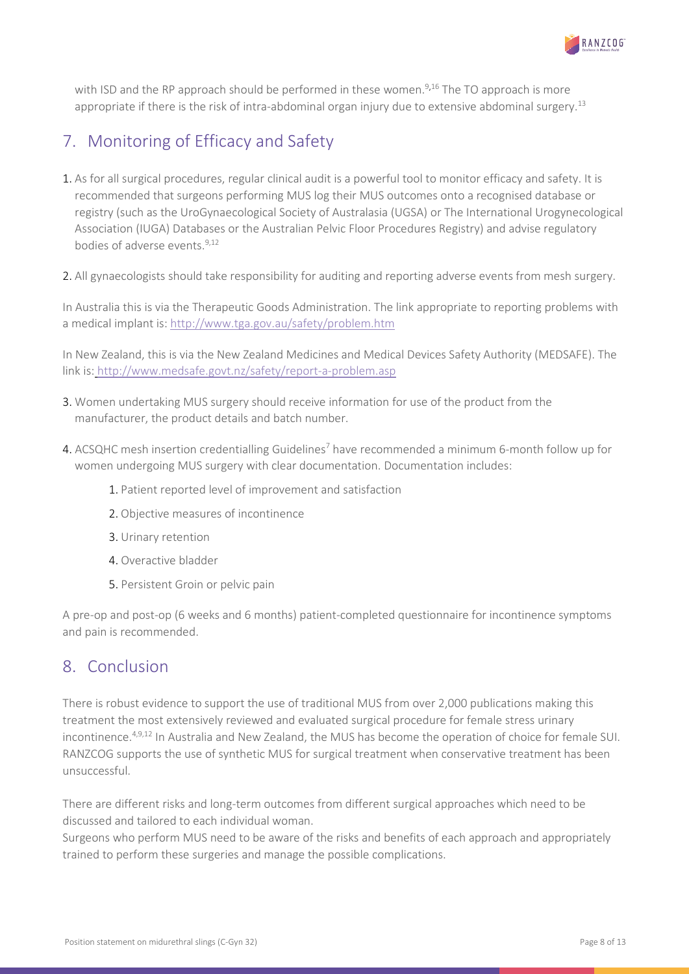

with ISD and the RP approach should be performed in these women.<sup>9,16</sup> The TO approach is more appropriate if there is the risk of intra-abdominal organ injury due to extensive abdominal surgery.<sup>13</sup>

# <span id="page-7-0"></span>7. Monitoring of Efficacy and Safety

- 1. As for all surgical procedures, regular clinical audit is a powerful tool to monitor efficacy and safety. It is recommended that surgeons performing MUS log their MUS outcomes onto a recognised database or registry (such as the UroGynaecological Society of Australasia (UGSA) or The International Urogynecological Association (IUGA) Databases or the Australian Pelvic Floor Procedures Registry) and advise regulatory bodies of adverse events.<sup>9,12</sup>
- 2. All gynaecologists should take responsibility for auditing and reporting adverse events from mesh surgery.

In Australia this is via the Therapeutic Goods Administration. The link appropriate to reporting problems with a medical implant is:<http://www.tga.gov.au/safety/problem.htm>

In New Zealand, this is via the New Zealand Medicines and Medical Devices Safety Authority (MEDSAFE). The link is: <http://www.medsafe.govt.nz/safety/report-a-problem.asp>

- 3. Women undertaking MUS surgery should receive information for use of the product from the manufacturer, the product details and batch number.
- 4. ACSQHC mesh insertion credentialling Guidelines<sup>7</sup> have recommended a minimum 6-month follow up for women undergoing MUS surgery with clear documentation. Documentation includes:
	- 1. Patient reported level of improvement and satisfaction
	- 2. Objective measures of incontinence
	- 3. Urinary retention
	- 4. Overactive bladder
	- 5. Persistent Groin or pelvic pain

A pre-op and post-op (6 weeks and 6 months) patient-completed questionnaire for incontinence symptoms and pain is recommended.

### <span id="page-7-1"></span>8. Conclusion

There is robust evidence to support the use of traditional MUS from over 2,000 publications making this treatment the most extensively reviewed and evaluated surgical procedure for female stress urinary incontinence.4,9,12 In Australia and New Zealand, the MUS has become the operation of choice for female SUI. RANZCOG supports the use of synthetic MUS for surgical treatment when conservative treatment has been unsuccessful.

There are different risks and long-term outcomes from different surgical approaches which need to be discussed and tailored to each individual woman.

Surgeons who perform MUS need to be aware of the risks and benefits of each approach and appropriately trained to perform these surgeries and manage the possible complications.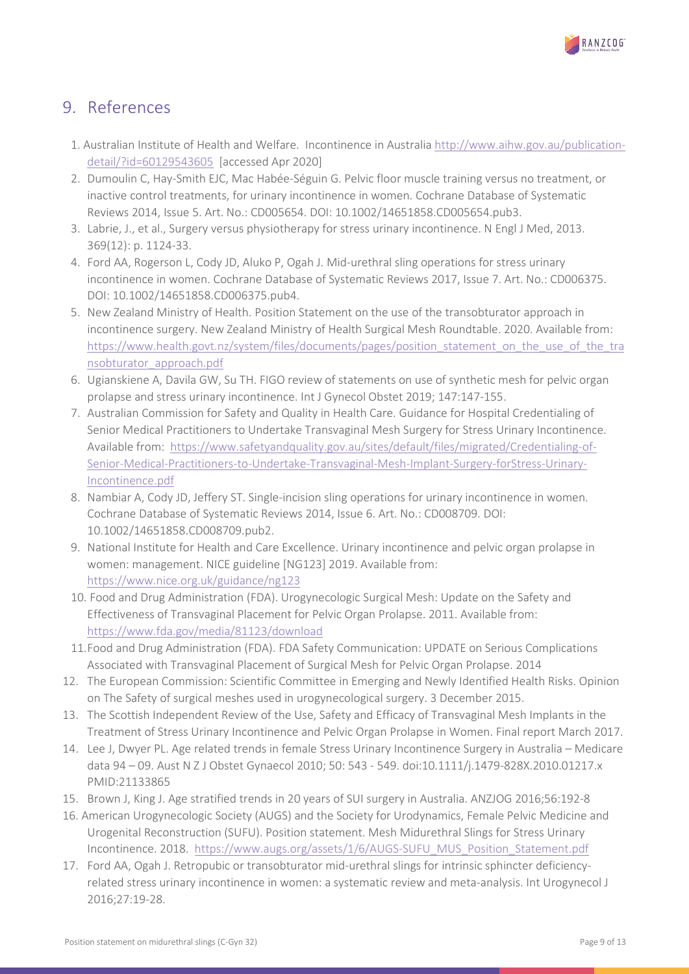

### <span id="page-8-0"></span>9. References

- 1. Australian Institute of Health and Welfare. Incontinence in Australi[a http://www.aihw.gov.au/publication](http://www.aihw.gov.au/publication-detail/?id=60129543605)[detail/?id=60129543605](http://www.aihw.gov.au/publication-detail/?id=60129543605) [accessed Apr 2020]
- 2. Dumoulin C, Hay-Smith EJC, Mac Habée-Séguin G. Pelvic floor muscle training versus no treatment, or inactive control treatments, for urinary incontinence in women. Cochrane Database of Systematic Reviews 2014, Issue 5. Art. No.: CD005654. DOI: 10.1002/14651858.CD005654.pub3.
- 3. Labrie, J., et al., Surgery versus physiotherapy for stress urinary incontinence. N Engl J Med, 2013. 369(12): p. 1124-33.
- 4. Ford AA, Rogerson L, Cody JD, Aluko P, Ogah J. Mid-urethral sling operations for stress urinary incontinence in women. Cochrane Database of Systematic Reviews 2017, Issue 7. Art. No.: CD006375. DOI: 10.1002/14651858.CD006375.pub4.
- 5. New Zealand Ministry of Health. Position Statement on the use of the transobturator approach in incontinence surgery. New Zealand Ministry of Health Surgical Mesh Roundtable. 2020. Available from: https://www.health.govt.nz/system/files/documents/pages/position statement on the use of the tra [nsobturator\\_approach.pdf](https://www.health.govt.nz/system/files/documents/pages/position_statement_on_the_use_of_the_transobturator_approach.pdf)
- 6. Ugianskiene A, Davila GW, Su TH. FIGO review of statements on use of synthetic mesh for pelvic organ prolapse and stress urinary incontinence. Int J Gynecol Obstet 2019; 147:147-155.
- 7. Australian Commission for Safety and Quality in Health Care. Guidance for Hospital Credentialing of Senior Medical Practitioners to Undertake Transvaginal Mesh Surgery for Stress Urinary Incontinence. Available from: [https://www.safetyandquality.gov.au/sites/default/files/migrated/Credentialing-of-](https://www.safetyandquality.gov.au/sites/default/files/migrated/Credentialing-of-Senior-Medical-Practitioners-to-Undertake-Transvaginal-Mesh-Implant-Surgery-forStress-Urinary-Incontinence.pdf)[Senior-Medical-Practitioners-to-Undertake-Transvaginal-Mesh-Implant-Surgery-forStress-Urinary-](https://www.safetyandquality.gov.au/sites/default/files/migrated/Credentialing-of-Senior-Medical-Practitioners-to-Undertake-Transvaginal-Mesh-Implant-Surgery-forStress-Urinary-Incontinence.pdf)[Incontinence.pdf](https://www.safetyandquality.gov.au/sites/default/files/migrated/Credentialing-of-Senior-Medical-Practitioners-to-Undertake-Transvaginal-Mesh-Implant-Surgery-forStress-Urinary-Incontinence.pdf)
- 8. Nambiar A, Cody JD, Jeffery ST. Single-incision sling operations for urinary incontinence in women. Cochrane Database of Systematic Reviews 2014, Issue 6. Art. No.: CD008709. DOI: 10.1002/14651858.CD008709.pub2.
- 9. National Institute for Health and Care Excellence. Urinary incontinence and pelvic organ prolapse in women: management. NICE guideline [NG123] 2019. Available from: <https://www.nice.org.uk/guidance/ng123>
- 10. Food and Drug Administration (FDA). Urogynecologic Surgical Mesh: Update on the Safety and Effectiveness of Transvaginal Placement for Pelvic Organ Prolapse. 2011. Available from: <https://www.fda.gov/media/81123/download>
- 11.Food and Drug Administration (FDA). FDA Safety Communication: UPDATE on Serious Complications Associated with Transvaginal Placement of Surgical Mesh for Pelvic Organ Prolapse. 2014
- 12. The European Commission: Scientific Committee in Emerging and Newly Identified Health Risks. Opinion on The Safety of surgical meshes used in urogynecological surgery. 3 December 2015.
- 13. The Scottish Independent Review of the Use, Safety and Efficacy of Transvaginal Mesh Implants in the Treatment of Stress Urinary Incontinence and Pelvic Organ Prolapse in Women. Final report March 2017.
- 14. Lee J, Dwyer PL. Age related trends in female Stress Urinary Incontinence Surgery in Australia Medicare data 94 – 09. Aust N Z J Obstet Gynaecol 2010; 50: 543 - 549. doi:10.1111/j.1479-828X.2010.01217.x PMID:21133865
- 15. Brown J, King J. Age stratified trends in 20 years of SUI surgery in Australia. ANZJOG 2016;56:192-8
- 16. American Urogynecologic Society (AUGS) and the Society for Urodynamics, Female Pelvic Medicine and Urogenital Reconstruction (SUFU). Position statement. Mesh Midurethral Slings for Stress Urinary Incontinence. 2018. [https://www.augs.org/assets/1/6/AUGS-SUFU\\_MUS\\_Position\\_Statement.pdf](https://www.augs.org/assets/1/6/AUGS-SUFU_MUS_Position_Statement.pdf)
- 17. Ford AA, Ogah J. Retropubic or transobturator mid-urethral slings for intrinsic sphincter deficiencyrelated stress urinary incontinence in women: a systematic review and meta-analysis. Int Urogynecol J 2016;27:19-28.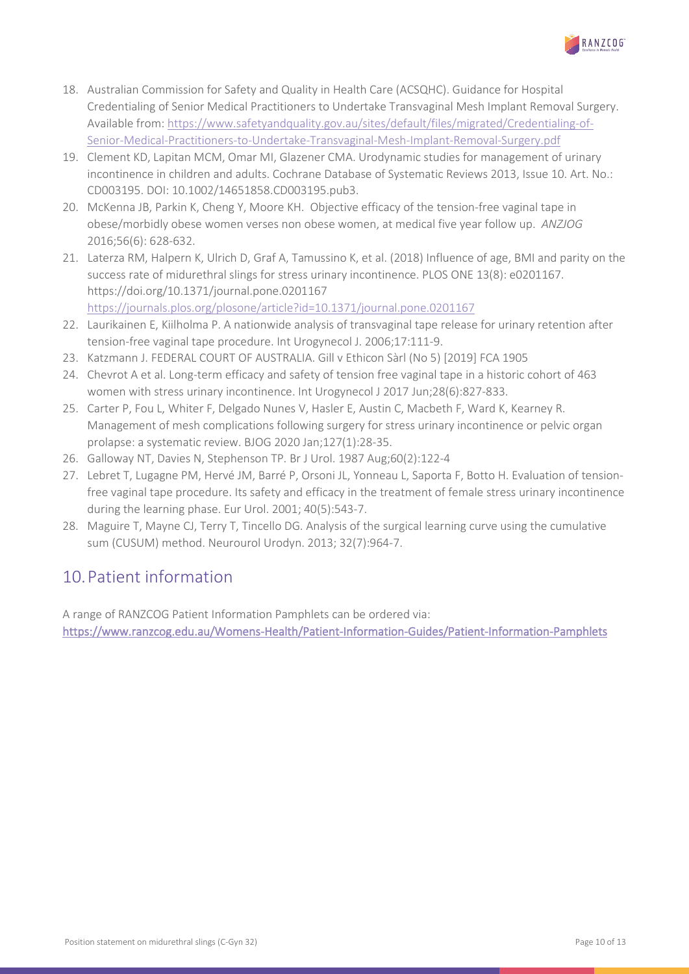

- 18. Australian Commission for Safety and Quality in Health Care (ACSQHC). Guidance for Hospital Credentialing of Senior Medical Practitioners to Undertake Transvaginal Mesh Implant Removal Surgery. Available from[: https://www.safetyandquality.gov.au/sites/default/files/migrated/Credentialing-of-](https://www.safetyandquality.gov.au/sites/default/files/migrated/Credentialing-of-Senior-Medical-Practitioners-to-Undertake-Transvaginal-Mesh-Implant-Removal-Surgery.pdf)[Senior-Medical-Practitioners-to-Undertake-Transvaginal-Mesh-Implant-Removal-Surgery.pdf](https://www.safetyandquality.gov.au/sites/default/files/migrated/Credentialing-of-Senior-Medical-Practitioners-to-Undertake-Transvaginal-Mesh-Implant-Removal-Surgery.pdf)
- 19. Clement KD, Lapitan MCM, Omar MI, Glazener CMA. Urodynamic studies for management of urinary incontinence in children and adults. Cochrane Database of Systematic Reviews 2013, Issue 10. Art. No.: CD003195. DOI: 10.1002/14651858.CD003195.pub3.
- 20. McKenna JB, Parkin K, Cheng Y, Moore KH. Objective efficacy of the tension-free vaginal tape in obese/morbidly obese women verses non obese women, at medical five year follow up. *ANZJOG*  2016;56(6): 628-632.
- 21. Laterza RM, Halpern K, Ulrich D, Graf A, Tamussino K, et al. (2018) Influence of age, BMI and parity on the success rate of midurethral slings for stress urinary incontinence. PLOS ONE 13(8): e0201167. https://doi.org/10.1371/journal.pone.0201167 <https://journals.plos.org/plosone/article?id=10.1371/journal.pone.0201167>
- 22. Laurikainen E, Kiilholma P. A nationwide analysis of transvaginal tape release for urinary retention after tension-free vaginal tape procedure. Int Urogynecol J. 2006;17:111-9.
- 23. Katzmann J. FEDERAL COURT OF AUSTRALIA. Gill v Ethicon Sàrl (No 5) [2019] FCA 1905
- 24. Chevrot A et al. Long-term efficacy and safety of tension free vaginal tape in a historic cohort of 463 women with stress urinary incontinence. Int Urogynecol J 2017 Jun;28(6):827-833.
- 25. Carter P, Fou L, Whiter F, Delgado Nunes V, Hasler E, Austin C, Macbeth F, Ward K, Kearney R. Management of mesh complications following surgery for stress urinary incontinence or pelvic organ prolapse: a systematic review. BJOG 2020 Jan;127(1):28-35.
- 26. Galloway NT, Davies N, Stephenson TP. Br J Urol. 1987 Aug;60(2):122-4
- 27. Lebret T, Lugagne PM, Hervé JM, Barré P, Orsoni JL, Yonneau L, Saporta F, Botto H. Evaluation of tensionfree vaginal tape procedure. Its safety and efficacy in the treatment of female stress urinary incontinence during the learning phase. Eur Urol. 2001; 40(5):543-7.
- 28. Maguire T, Mayne CJ, Terry T, Tincello DG. Analysis of the surgical learning curve using the cumulative sum (CUSUM) method. Neurourol Urodyn. 2013; 32(7):964-7.

# <span id="page-9-0"></span>10.Patient information

<span id="page-9-1"></span>A range of RANZCOG Patient Information Pamphlets can be ordered via: <https://www.ranzcog.edu.au/Womens-Health/Patient-Information-Guides/Patient-Information-Pamphlets>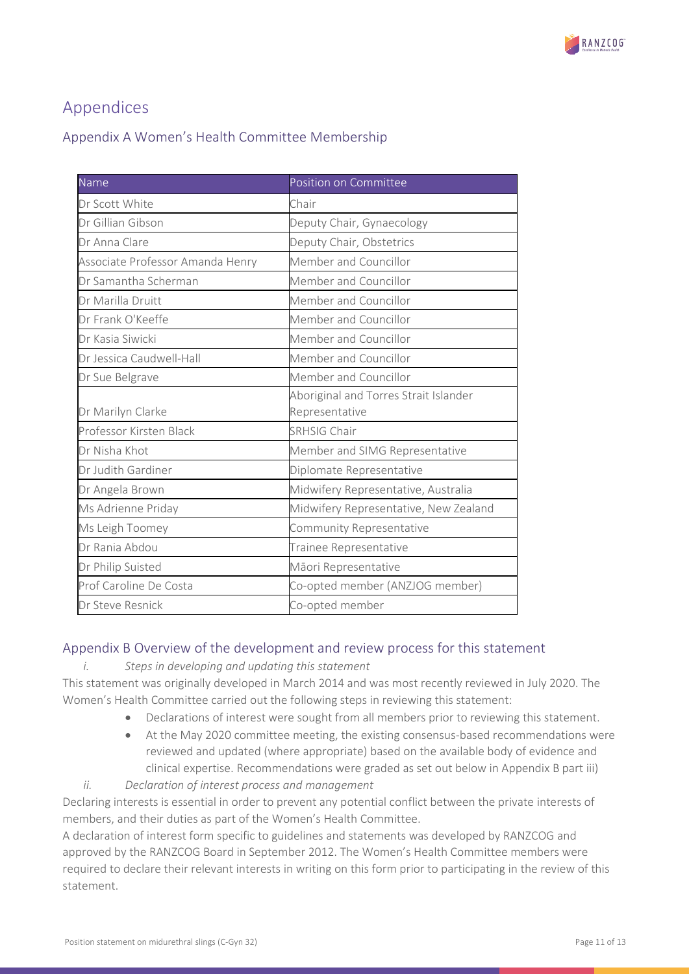

# Appendices

### <span id="page-10-0"></span>Appendix A Women's Health Committee Membership

| Name                             | Position on Committee                 |
|----------------------------------|---------------------------------------|
| Dr Scott White                   | Chair                                 |
| Dr Gillian Gibson                | Deputy Chair, Gynaecology             |
| Dr Anna Clare                    | Deputy Chair, Obstetrics              |
| Associate Professor Amanda Henry | Member and Councillor                 |
| Dr Samantha Scherman             | Member and Councillor                 |
| Dr Marilla Druitt                | Member and Councillor                 |
| Dr Frank O'Keeffe                | Member and Councillor                 |
| Dr Kasia Siwicki                 | Member and Councillor                 |
| Dr Jessica Caudwell-Hall         | Member and Councillor                 |
| Dr Sue Belgrave                  | Member and Councillor                 |
|                                  | Aboriginal and Torres Strait Islander |
| Dr Marilyn Clarke                | Representative                        |
| Professor Kirsten Black          | <b>SRHSIG Chair</b>                   |
| Dr Nisha Khot                    | Member and SIMG Representative        |
| Dr Judith Gardiner               | Diplomate Representative              |
| Dr Angela Brown                  | Midwifery Representative, Australia   |
| Ms Adrienne Priday               | Midwifery Representative, New Zealand |
| Ms Leigh Toomey                  | Community Representative              |
| Dr Rania Abdou                   | Trainee Representative                |
| Dr Philip Suisted                | Māori Representative                  |
| Prof Caroline De Costa           | Co-opted member (ANZJOG member)       |
| Dr Steve Resnick                 | Co-opted member                       |

### <span id="page-10-1"></span>Appendix B Overview of the development and review process for this statement

*i. Steps in developing and updating this statement*

This statement was originally developed in March 2014 and was most recently reviewed in July 2020. The Women's Health Committee carried out the following steps in reviewing this statement:

- Declarations of interest were sought from all members prior to reviewing this statement.
- At the May 2020 committee meeting, the existing consensus-based recommendations were reviewed and updated (where appropriate) based on the available body of evidence and clinical expertise. Recommendations were graded as set out below in Appendix B part iii)
- *ii. Declaration of interest process and management*

Declaring interests is essential in order to prevent any potential conflict between the private interests of members, and their duties as part of the Women's Health Committee.

A declaration of interest form specific to guidelines and statements was developed by RANZCOG and approved by the RANZCOG Board in September 2012. The Women's Health Committee members were required to declare their relevant interests in writing on this form prior to participating in the review of this statement.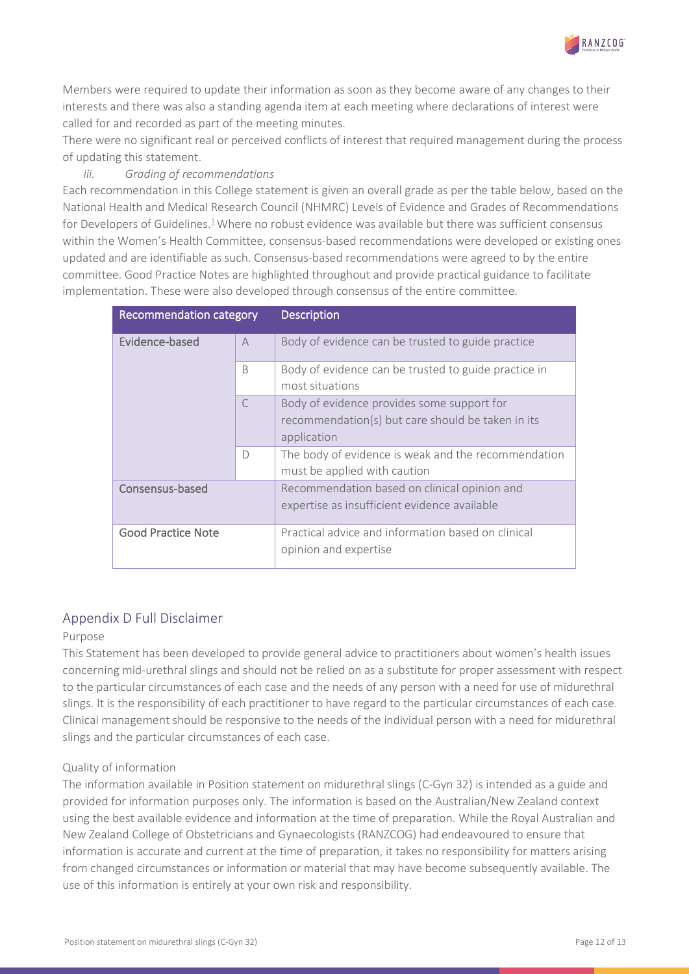

Members were required to update their information as soon as they become aware of any changes to their interests and there was also a standing agenda item at each meeting where declarations of interest were called for and recorded as part of the meeting minutes.

There were no significant real or perceived conflicts of interest that required management during the process of updating this statement.

### *iii. Grading of recommendations*

Each recommendation in this College statement is given an overall grade as per the table below, based on the National Health and Medical Research Council (NHMRC) Levels of Evidence and Grades of Recommendations for Developers of Guidelines.<sup>1</sup>Where no robust evidence was available but there was sufficient consensus within the Women's Health Committee, consensus-based recommendations were developed or existing ones updated and are identifiable as such. Consensus-based recommendations were agreed to by the entire committee. Good Practice Notes are highlighted throughout and provide practical guidance to facilitate implementation. These were also developed through consensus of the entire committee.

| Recommendation category   |                | <b>Description</b>                                                                                             |
|---------------------------|----------------|----------------------------------------------------------------------------------------------------------------|
| Evidence-based            | $\overline{A}$ | Body of evidence can be trusted to guide practice                                                              |
|                           | <sub>B</sub>   | Body of evidence can be trusted to guide practice in<br>most situations                                        |
|                           | $\subset$      | Body of evidence provides some support for<br>recommendation(s) but care should be taken in its<br>application |
|                           | $\Box$         | The body of evidence is weak and the recommendation<br>must be applied with caution                            |
| Consensus-based           |                | Recommendation based on clinical opinion and<br>expertise as insufficient evidence available                   |
| <b>Good Practice Note</b> |                | Practical advice and information based on clinical<br>opinion and expertise                                    |

### <span id="page-11-0"></span>Appendix D Full Disclaimer

#### Purpose

This Statement has been developed to provide general advice to practitioners about women's health issues concerning mid-urethral slings and should not be relied on as a substitute for proper assessment with respect to the particular circumstances of each case and the needs of any person with a need for use of midurethral slings. It is the responsibility of each practitioner to have regard to the particular circumstances of each case. Clinical management should be responsive to the needs of the individual person with a need for midurethral slings and the particular circumstances of each case.

#### Quality of information

The information available in Position statement on midurethral slings (C-Gyn 32) is intended as a guide and provided for information purposes only. The information is based on the Australian/New Zealand context using the best available evidence and information at the time of preparation. While the Royal Australian and New Zealand College of Obstetricians and Gynaecologists (RANZCOG) had endeavoured to ensure that information is accurate and current at the time of preparation, it takes no responsibility for matters arising from changed circumstances or information or material that may have become subsequently available. The use of this information is entirely at your own risk and responsibility.